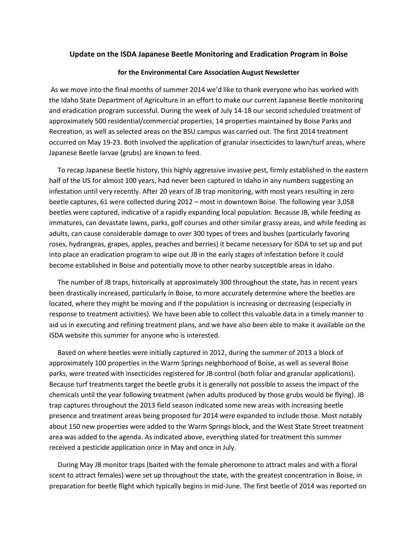## **Update on the ISDA Japanese Beetle Monitoring and Eradication Program in Boise**

## **for the Environmental Care Association August Newsletter**

As we move into the final months of summer 2014 we'd like to thank everyone who has worked with the Idaho State Department of Agriculture in an effort to make our current Japanese Beetle monitoring and eradication program successful. During the week of July 14-18 our second scheduled treatment of approximately 500 residential/commercial properties, 14 properties maintained by Boise Parks and Recreation, as well as selected areas on the BSU campus was carried out. The first 2014 treatment occurred on May 19-23. Both involved the application of granular insecticides to lawn/turf areas, where Japanese Beetle larvae (grubs) are known to feed.

To recap Japanese Beetle history, this highly aggressive invasive pest, firmly established in the eastern half of the US for almost 100 years, had never been captured in Idaho in any numbers suggesting an infestation until very recently. After 20 years of JB trap monitoring, with most years resulting in zero beetle captures, 61 were collected during 2012 – most in downtown Boise. The following year 3,058 beetles were captured, indicative of a rapidly expanding local population. Because JB, while feeding as immatures, can devastate lawns, parks, golf courses and other similar grassy areas, and while feeding as adults, can cause considerable damage to over 300 types of trees and bushes (particularly favoring roses, hydrangeas, grapes, apples, peaches and berries) it became necessary for ISDA to set up and put into place an eradication program to wipe out JB in the early stages of infestation before it could become established in Boise and potentially move to other nearby susceptible areas in Idaho.

The number of JB traps, historically at approximately 300 throughout the state, has in recent years been drastically increased, particularly in Boise, to more accurately determine where the beetles are located, where they might be moving and if the population is increasing or decreasing (especially in response to treatment activities). We have been able to collect this valuable data in a timely manner to aid us in executing and refining treatment plans, and we have also been able to make it available on the ISDA website this summer for anyone who is interested.

Based on where beetles were initially captured in 2012, during the summer of 2013 a block of approximately 100 properties in the Warm Springs neighborhood of Boise, as well as several Boise parks, were treated with insecticides registered for JB control (both foliar and granular applications). Because turf treatments target the beetle grubs it is generally not possible to assess the impact of the chemicals until the year following treatment (when adults produced by those grubs would be flying). JB trap captures throughout the 2013 field season indicated some new areas with increasing beetle presence and treatment areas being proposed for 2014 were expanded to include those. Most notably about 150 new properties were added to the Warm Springs block, and the West State Street treatment area was added to the agenda. As indicated above, everything slated for treatment this summer received a pesticide application once in May and once in July.

During May JB monitor traps (baited with the female pheromone to attract males and with a floral scent to attract females) were set up throughout the state, with the greatest concentration in Boise, in preparation for beetle flight which typically begins in mid-June. The first beetle of 2014 was reported on